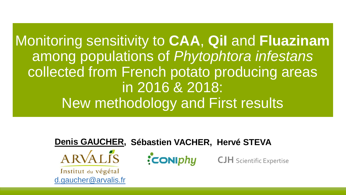Monitoring sensitivity to **CAA**, **QiI** and **Fluazinam** among populations of *Phytophtora infestans* collected from French potato producing areas in 2016 & 2018: New methodology and First results



 $ARVAL{IS}$ 

Institut du végétal [d.gaucher@arvalis.fr](mailto:d.gaucher@arvalis.fr) **CONIDhy** 

**CJH** Scientific Expertise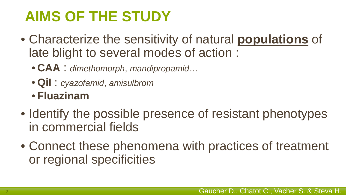## **AIMS OF THE STUDY**

- Characterize the sensitivity of natural **populations** of late blight to several modes of action :
	- **CAA** : *dimethomorph*, *mandipropamid*…
	- **QiI** : *cyazofamid*, *amisulbrom*
	- **Fluazinam**
- Identify the possible presence of resistant phenotypes in commercial fields
- Connect these phenomena with practices of treatment or regional specificities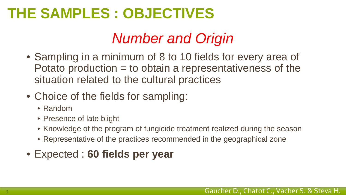### **THE SAMPLES : OBJECTIVES**

### *Number and Origin*

- Sampling in a minimum of 8 to 10 fields for every area of Potato production = to obtain a representativeness of the situation related to the cultural practices
- Choice of the fields for sampling:
	- Random
	- Presence of late blight
	- Knowledge of the program of fungicide treatment realized during the season
	- Representative of the practices recommended in the geographical zone
- Expected : **60 fields per year**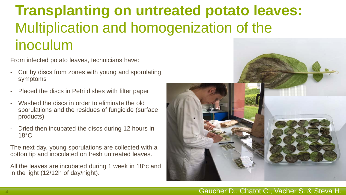### **Transplanting on untreated potato leaves:**  Multiplication and homogenization of the inoculum

From infected potato leaves, technicians have:

- Cut by discs from zones with young and sporulating symptoms
- Placed the discs in Petri dishes with filter paper
- Washed the discs in order to eliminate the old sporulations and the residues of fungicide (surface products)
- Dried then incubated the discs during 12 hours in 18°C

The next day, young sporulations are collected with a cotton tip and inoculated on fresh untreated leaves.

All the leaves are incubated during 1 week in 18°c and in the light (12/12h of day/night).

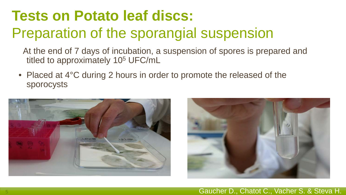## **Tests on Potato leaf discs:** Preparation of the sporangial suspension

At the end of 7 days of incubation, a suspension of spores is prepared and titled to approximately 10<sup>5</sup> UFC/mL

• Placed at 4°C during 2 hours in order to promote the released of the sporocysts



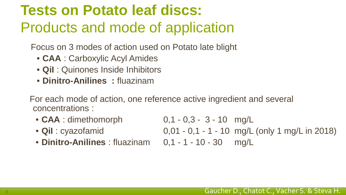## **Tests on Potato leaf discs:** Products and mode of application

Focus on 3 modes of action used on Potato late blight

- **CAA** : Carboxylic Acyl Amides
- **QiI** : Quinones Inside Inhibitors
- **Dinitro-Anilines :** fluazinam

For each mode of action, one reference active ingredient and several concentrations :

- **CAA** : dimethomorph 0,1 0,3 3 10 mg/L
- 
- 
- 
- **Dinitro-Anilines** : fluazinam 0,1 1 10 30 mg/L

• **Qil** : cyazofamid 0,01 - 0,1 - 1 - 10 mg/L (only 1 mg/L in 2018)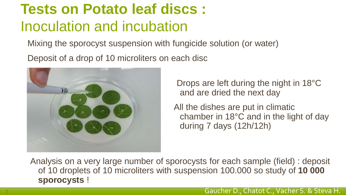## **Tests on Potato leaf discs :** Inoculation and incubation

Mixing the sporocyst suspension with fungicide solution (or water) Deposit of a drop of 10 microliters on each disc



Drops are left during the night in 18°C and are dried the next day

All the dishes are put in climatic chamber in 18°C and in the light of day during 7 days (12h/12h)

Analysis on a very large number of sporocysts for each sample (field) : deposit of 10 droplets of 10 microliters with suspension 100.000 so study of **10 000 sporocysts** !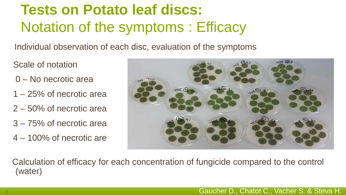## **Tests on Potato leaf discs:** Notation of the symptoms : Efficacy

Individual observation of each disc, evaluation of the symptoms

Scale of notation

- 0 No necrotic area
- 1 25% of necrotic area
- 2 50% of necrotic area
- 3 75% of necrotic area
- 4 100% of necrotic are



Calculation of efficacy for each concentration of fungicide compared to the control (water)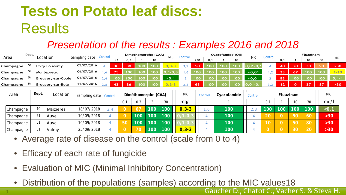## **Tests on Potato leaf discs: Results**

#### *Presentation of the results : Examples 2016 and 2018*

|           | Dept. | Location           |               |               | Control                  | Diméthomorphe (CAA)<br><b>MIC</b><br>Control |     |                                   |     |           |               |     | Cyazofamide (Qil)      |     |     |            | Control        |          |                 | Fluazinam |            |          |
|-----------|-------|--------------------|---------------|---------------|--------------------------|----------------------------------------------|-----|-----------------------------------|-----|-----------|---------------|-----|------------------------|-----|-----|------------|----------------|----------|-----------------|-----------|------------|----------|
| Area      |       |                    |               | Sampling date |                          | , 1                                          | 0.3 |                                   | 10  | -----     |               | ,01 | 0.1                    |     | 10  | <b>MIC</b> |                | 0,1      |                 | 10        | 30         | MIC      |
| Champagne | 51    | Livry Louvercy     |               | 05/07/2016    |                          | 30                                           | 80  | 100                               | 100 | $0.3 - 3$ | 3,2           | 50  | 100                    | 100 | 100 | .01-0      |                | 40       | 70              | 30        | 90         | $>30$    |
| Champagne | 51    | Montépreux         |               | 04/07/2016    | 1.6                      | 75                                           | 100 | 100                               | 100 | $1 - 0$   | .6            | 100 | 100                    | 100 | 100 | 0,01       | 1,2            | 33       | 67              | 00        | 100        | $1 - 10$ |
| Champagne | 51    | Breuvery-sur-Coole |               | 04/07/2016    | 2,4                      | 100                                          | 100 | 100                               | 100 | <0.1      | $\mathcal{L}$ | 100 | 100                    | 100 | 100 | <0,01      | $\sim$         | 83       | 100             | 100       | 100        | $0, 1-1$ |
| Champagne | 51    | Breuvery-sur-Bole  |               | 11/07/2016    | 2,8                      | 43                                           | 86  | 100                               | 100 | $3 - 3$   |               | 63  | 100                    | 100 | 100 | $01 - 0$   | 3.2            | 12       | $\Omega$        | 37        | 87         | >30      |
| Area      |       | Dept.<br>Location  |               |               | Sampling date<br>Control |                                              |     | <b>MIC</b><br>Diméthomorphe (CAA) |     |           |               |     | Cyazofamide<br>Control |     |     | Control    |                |          | Fluazinam       |           | <b>MIC</b> |          |
|           |       |                    |               |               |                          |                                              | 0.1 | 0.3                               |     | 30        | mq/1          |     |                        |     |     |            | 0.1            |          | 10 <sup>°</sup> | 30        |            | mg/l     |
| Champagne |       | 10                 | Maizières     | 18/07/2018    | 2.4                      |                                              |     | $\sqrt{67}$                       | 100 | 100       | $0, 3 - 3$    |     |                        | 100 |     | 2.8        | 100            | 100      | 100             | 100       |            | $<$ 0, 1 |
| Champagne |       | 51                 | Auve          | 10/09/2018    |                          |                                              |     | 100                               | 100 | 100       |               |     |                        | 100 |     |            | 20             | 0        | 50              | 60        |            | $>30$    |
| Champagne |       | 51                 | <b>I</b> Auve | 10/09/2018    |                          |                                              | 50  | 100                               | 100 | 100       |               |     |                        | 100 |     |            | 10             | 0        | 50              | 80        |            | $>30$    |
| Champagne |       | 51                 | Valmy         | 25/09/2018    |                          |                                              | 0   | 70                                | 100 | 100       | $0, 3 - 3$    |     |                        | 100 |     |            | $\overline{O}$ | $\Omega$ | 30              | 20        |            | $>30$    |

- Average rate of disease on the control (scale from 0 to 4)
- Efficacy of each rate of fungicide
- Evaluation of MIC (Minimal Inhibitory Concentration)
- Distribution of the populations (samples) according to the MIC values18

Gaucher D., Chatot C., Vacher S. & Steva H.

9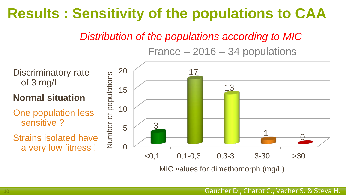### **Results : Sensitivity of the populations to CAA**

*Distribution of the populations according to MIC*

France – 2016 – 34 populations

Discriminatory rate of 3 mg/L

**Normal situation**

One population less sensitive ?

Strains isolated have a very low fitness !

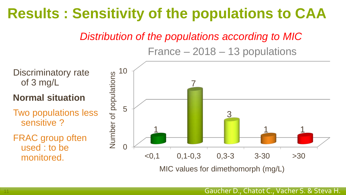### **Results : Sensitivity of the populations to CAA**

*Distribution of the populations according to MIC*

France – 2018 – 13 populations



MIC values for dimethomorph (mg/L)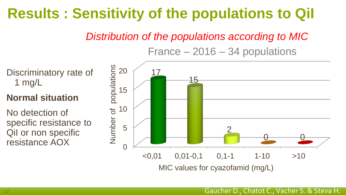### **Results : Sensitivity of the populations to QiI**

*Distribution of the populations according to MIC*

France – 2016 – 34 populations

Discriminatory rate of 1 mg/L

#### **Normal situation**

No detection of specific resistance to QiI or non specific resistance AOX

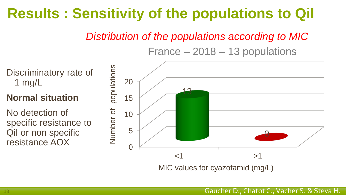### **Results : Sensitivity of the populations to QiI**

#### *Distribution of the populations according to MIC*

#### France – 2018 – 13 populations

Discriminatory rate of 1 mg/L

**Normal situation**

No detection of specific resistance to QiI or non specific resistance AOX

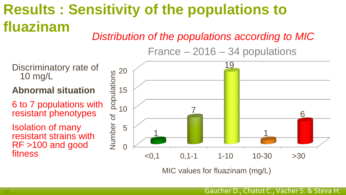### *Distribution of the populations according to MIC* **Results : Sensitivity of the populations to fluazinam**

France – 2016 – 34 populations



MIC values for fluazinam (mg/L)

Discriminatory rate of 10 mg/L

**Abnormal situation**

6 to 7 populations with resistant phenotypes

Isolation of many resistant strains with RF >100 and good fitness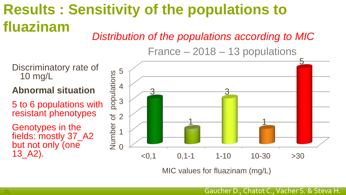### *Distribution of the populations according to MIC* **Results : Sensitivity of the populations to fluazinam**

France – 2018 – 13 populations

Discriminatory rate of 10 mg/L

**Abnormal situation**

5 to 6 populations with resistant phenotypes

Genotypes in the fields: mostly 37\_A2 but not only (one 13\_A2).



MIC values for fluazinam (mg/L)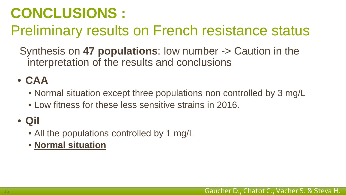### **CONCLUSIONS :**

### Preliminary results on French resistance status

Synthesis on **47 populations**: low number -> Caution in the interpretation of the results and conclusions

### • **CAA**

- Normal situation except three populations non controlled by 3 mg/L
- Low fitness for these less sensitive strains in 2016.

### • **QiI**

- All the populations controlled by 1 mg/L
- **Normal situation**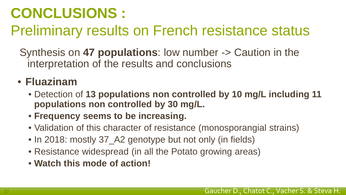### **CONCLUSIONS :**

### Preliminary results on French resistance status

Synthesis on **47 populations**: low number -> Caution in the interpretation of the results and conclusions

### • **Fluazinam**

- Detection of **13 populations non controlled by 10 mg/L including 11 populations non controlled by 30 mg/L.**
- **Frequency seems to be increasing.**
- Validation of this character of resistance (monosporangial strains)
- In 2018: mostly 37\_A2 genotype but not only (in fields)
- Resistance widespread (in all the Potato growing areas)
- **Watch this mode of action!**